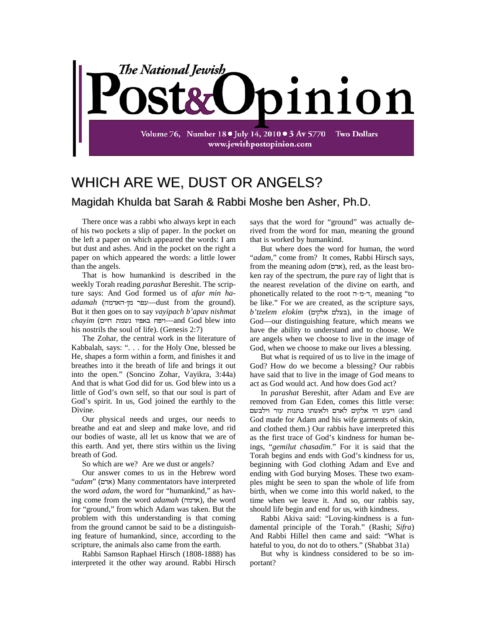

## WHICH ARE WE, DUST OR ANGELS? Magidah Khulda bat Sarah & Rabbi Moshe ben Asher, Ph.D.

There once was a rabbi who always kept in each of his two pockets a slip of paper. In the pocket on the left a paper on which appeared the words: I am but dust and ashes. And in the pocket on the right a paper on which appeared the words: a little lower than the angels.

That is how humankind is described in the weekly Torah reading *parashat* Bereshit. The scripture says: And God formed us of *afar min ha* $adamah$  (שפר מן-האדמה —dust from the ground). But it then goes on to say *vayipach b'apav nishmat chayim* ( —and God blew into his nostrils the soul of life). (Genesis 2:7)

The Zohar, the central work in the literature of Kabbalah, says: ". . . for the Holy One, blessed be He, shapes a form within a form, and finishes it and breathes into it the breath of life and brings it out into the open." (Soncino Zohar, Vayikra, 3:44a) And that is what God did for us. God blew into us a little of God's own self, so that our soul is part of God's spirit. In us, God joined the earthly to the Divine.

Our physical needs and urges, our needs to breathe and eat and sleep and make love, and rid our bodies of waste, all let us know that we are of this earth. And yet, there stirs within us the living breath of God.

So which are we? Are we dust or angels?

Our answer comes to us in the Hebrew word "*adam*" (אדם) Many commentators have interpreted the word *adam*, the word for "humankind," as having come from the word *adamah* (אדמה), the word for "ground," from which Adam was taken. But the problem with this understanding is that coming from the ground cannot be said to be a distinguishing feature of humankind, since, according to the scripture, the animals also came from the earth.

Rabbi Samson Raphael Hirsch (1808-1888) has interpreted it the other way around. Rabbi Hirsch

says that the word for "ground" was actually derived from the word for man, meaning the ground that is worked by humankind.

But where does the word for human, the word "*adam*," come from? It comes, Rabbi Hirsch says, from the meaning *adom* (אדם), red, as the least broken ray of the spectrum, the pure ray of light that is the nearest revelation of the divine on earth, and phonetically related to the root , meaning "to be like." For we are created, as the scripture says, *b'tzelem elokim* ( ), in the image of God—our distinguishing feature, which means we have the ability to understand and to choose. We are angels when we choose to live in the image of God, when we choose to make our lives a blessing.

But what is required of us to live in the image of God? How do we become a blessing? Our rabbis have said that to live in the image of God means to act as God would act. And how does God act?

In *parashat* Bereshit, after Adam and Eve are removed from Gan Eden, comes this little verse: and) ויעש הי אלקים לאדם ולאשתו כתנות עור וילבשם God made for Adam and his wife garments of skin, and clothed them.) Our rabbis have interpreted this as the first trace of God's kindness for human beings, "*gemilut chasadim*." For it is said that the Torah begins and ends with God's kindness for us, beginning with God clothing Adam and Eve and ending with God burying Moses. These two examples might be seen to span the whole of life from birth, when we come into this world naked, to the time when we leave it. And so, our rabbis say, should life begin and end for us, with kindness.

Rabbi Akiva said: "Loving-kindness is a fundamental principle of the Torah." (Rashi; *Sifra*) And Rabbi Hillel then came and said: "What is hateful to you, do not do to others." (Shabbat 31a)

But why is kindness considered to be so important?